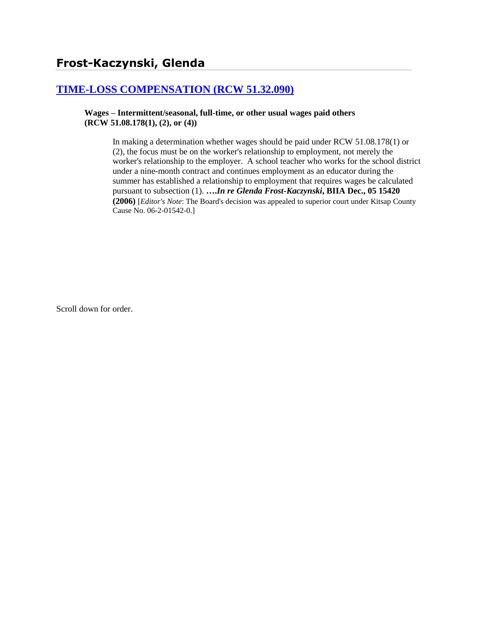# **[TIME-LOSS COMPENSATION \(RCW 51.32.090\)](http://www.biia.wa.gov/SDSubjectIndex.html#TIME_LOSS_COMPENSATION)**

**Wages – Intermittent/seasonal, full-time, or other usual wages paid others (RCW 51.08.178(1), (2), or (4))**

> In making a determination whether wages should be paid under RCW 51.08.178(1) or (2), the focus must be on the worker's relationship to employment, not merely the worker's relationship to the employer. A school teacher who works for the school district under a nine-month contract and continues employment as an educator during the summer has established a relationship to employment that requires wages be calculated pursuant to subsection (1). **….***In re Glenda Frost-Kaczynski***, BIIA Dec., 05 15420 (2006)** [*Editor's Note*: The Board's decision was appealed to superior court under Kitsap County Cause No. 06-2-01542-0.]

Scroll down for order.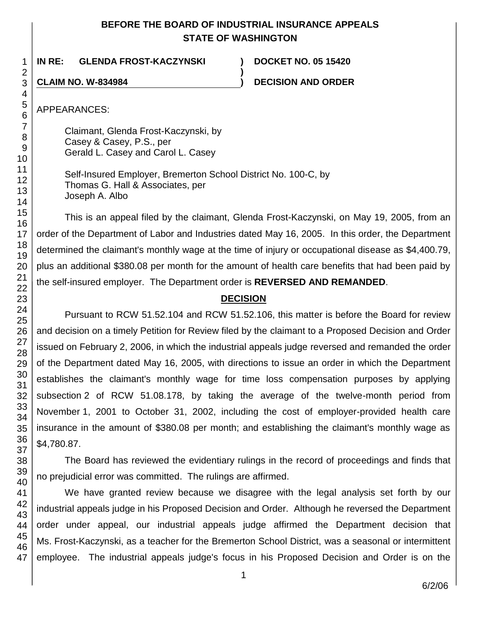## **BEFORE THE BOARD OF INDUSTRIAL INSURANCE APPEALS STATE OF WASHINGTON**

**)**

**IN RE: GLENDA FROST-KACZYNSKI ) DOCKET NO. 05 15420**

**CLAIM NO. W-834984 ) DECISION AND ORDER**

APPEARANCES:

Claimant, Glenda Frost-Kaczynski, by Casey & Casey, P.S., per Gerald L. Casey and Carol L. Casey

Self-Insured Employer, Bremerton School District No. 100-C, by Thomas G. Hall & Associates, per Joseph A. Albo

This is an appeal filed by the claimant, Glenda Frost-Kaczynski, on May 19, 2005, from an order of the Department of Labor and Industries dated May 16, 2005. In this order, the Department determined the claimant's monthly wage at the time of injury or occupational disease as \$4,400.79, plus an additional \$380.08 per month for the amount of health care benefits that had been paid by the self-insured employer. The Department order is **REVERSED AND REMANDED**.

# **DECISION**

Pursuant to RCW 51.52.104 and RCW 51.52.106, this matter is before the Board for review and decision on a timely Petition for Review filed by the claimant to a Proposed Decision and Order issued on February 2, 2006, in which the industrial appeals judge reversed and remanded the order of the Department dated May 16, 2005, with directions to issue an order in which the Department establishes the claimant's monthly wage for time loss compensation purposes by applying subsection 2 of RCW 51.08.178, by taking the average of the twelve-month period from November 1, 2001 to October 31, 2002, including the cost of employer-provided health care insurance in the amount of \$380.08 per month; and establishing the claimant's monthly wage as \$4,780.87.

The Board has reviewed the evidentiary rulings in the record of proceedings and finds that no prejudicial error was committed. The rulings are affirmed.

We have granted review because we disagree with the legal analysis set forth by our industrial appeals judge in his Proposed Decision and Order. Although he reversed the Department order under appeal, our industrial appeals judge affirmed the Department decision that Ms. Frost-Kaczynski, as a teacher for the Bremerton School District, was a seasonal or intermittent employee. The industrial appeals judge's focus in his Proposed Decision and Order is on the

1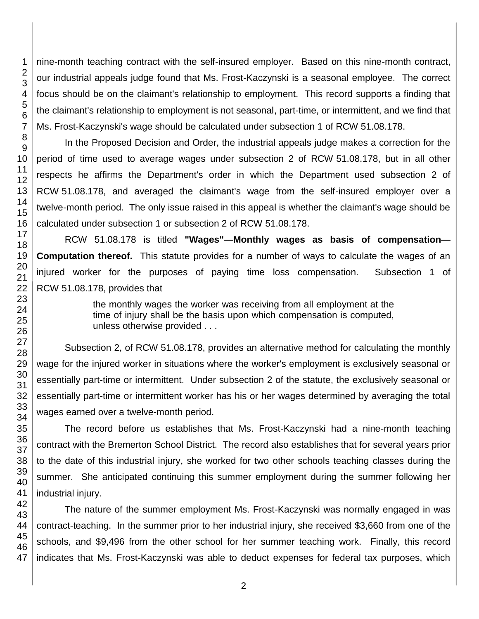nine-month teaching contract with the self-insured employer. Based on this nine-month contract, our industrial appeals judge found that Ms. Frost-Kaczynski is a seasonal employee. The correct focus should be on the claimant's relationship to employment. This record supports a finding that the claimant's relationship to employment is not seasonal, part-time, or intermittent, and we find that Ms. Frost-Kaczynski's wage should be calculated under subsection 1 of RCW 51.08.178.

In the Proposed Decision and Order, the industrial appeals judge makes a correction for the period of time used to average wages under subsection 2 of RCW 51.08.178, but in all other respects he affirms the Department's order in which the Department used subsection 2 of RCW 51.08.178, and averaged the claimant's wage from the self-insured employer over a twelve-month period. The only issue raised in this appeal is whether the claimant's wage should be calculated under subsection 1 or subsection 2 of RCW 51.08.178.

RCW 51.08.178 is titled **"Wages"—Monthly wages as basis of compensation— Computation thereof.** This statute provides for a number of ways to calculate the wages of an injured worker for the purposes of paying time loss compensation. Subsection 1 of RCW 51.08.178, provides that

> the monthly wages the worker was receiving from all employment at the time of injury shall be the basis upon which compensation is computed, unless otherwise provided . . .

Subsection 2, of RCW 51.08.178, provides an alternative method for calculating the monthly wage for the injured worker in situations where the worker's employment is exclusively seasonal or essentially part-time or intermittent. Under subsection 2 of the statute, the exclusively seasonal or essentially part-time or intermittent worker has his or her wages determined by averaging the total wages earned over a twelve-month period.

The record before us establishes that Ms. Frost-Kaczynski had a nine-month teaching contract with the Bremerton School District. The record also establishes that for several years prior to the date of this industrial injury, she worked for two other schools teaching classes during the summer. She anticipated continuing this summer employment during the summer following her industrial injury.

The nature of the summer employment Ms. Frost-Kaczynski was normally engaged in was contract-teaching. In the summer prior to her industrial injury, she received \$3,660 from one of the schools, and \$9,496 from the other school for her summer teaching work. Finally, this record indicates that Ms. Frost-Kaczynski was able to deduct expenses for federal tax purposes, which

1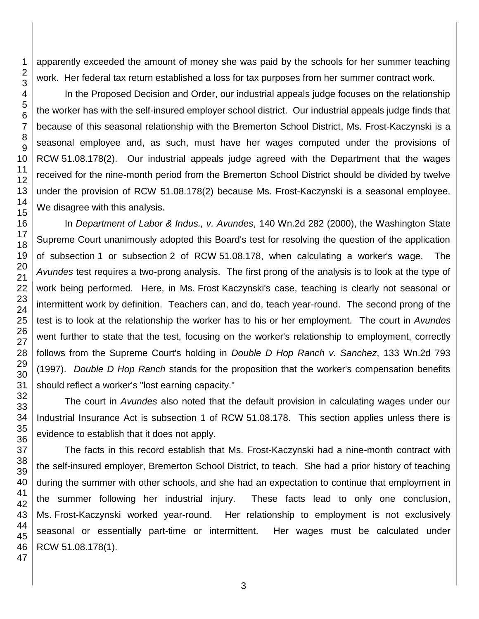apparently exceeded the amount of money she was paid by the schools for her summer teaching work. Her federal tax return established a loss for tax purposes from her summer contract work.

In the Proposed Decision and Order, our industrial appeals judge focuses on the relationship the worker has with the self-insured employer school district. Our industrial appeals judge finds that because of this seasonal relationship with the Bremerton School District, Ms. Frost-Kaczynski is a seasonal employee and, as such, must have her wages computed under the provisions of RCW 51.08.178(2). Our industrial appeals judge agreed with the Department that the wages received for the nine-month period from the Bremerton School District should be divided by twelve under the provision of RCW 51.08.178(2) because Ms. Frost-Kaczynski is a seasonal employee. We disagree with this analysis.

In *Department of Labor & Indus., v. Avundes*, 140 Wn.2d 282 (2000), the Washington State Supreme Court unanimously adopted this Board's test for resolving the question of the application of subsection 1 or subsection 2 of RCW 51.08.178, when calculating a worker's wage. The *Avundes* test requires a two-prong analysis. The first prong of the analysis is to look at the type of work being performed. Here, in Ms. Frost Kaczynski's case, teaching is clearly not seasonal or intermittent work by definition. Teachers can, and do, teach year-round. The second prong of the test is to look at the relationship the worker has to his or her employment. The court in *Avundes* went further to state that the test, focusing on the worker's relationship to employment, correctly follows from the Supreme Court's holding in *Double D Hop Ranch v. Sanchez*, 133 Wn.2d 793 (1997). *Double D Hop Ranch* stands for the proposition that the worker's compensation benefits should reflect a worker's "lost earning capacity."

The court in *Avundes* also noted that the default provision in calculating wages under our Industrial Insurance Act is subsection 1 of RCW 51.08.178. This section applies unless there is evidence to establish that it does not apply.

The facts in this record establish that Ms. Frost-Kaczynski had a nine-month contract with the self-insured employer, Bremerton School District, to teach. She had a prior history of teaching during the summer with other schools, and she had an expectation to continue that employment in the summer following her industrial injury. These facts lead to only one conclusion, Ms. Frost-Kaczynski worked year-round. Her relationship to employment is not exclusively seasonal or essentially part-time or intermittent. Her wages must be calculated under RCW 51.08.178(1).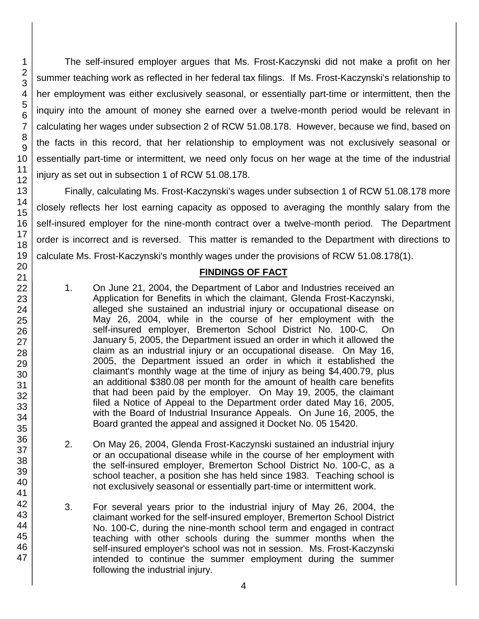The self-insured employer argues that Ms. Frost-Kaczynski did not make a profit on her summer teaching work as reflected in her federal tax filings. If Ms. Frost-Kaczynski's relationship to her employment was either exclusively seasonal, or essentially part-time or intermittent, then the inquiry into the amount of money she earned over a twelve-month period would be relevant in calculating her wages under subsection 2 of RCW 51.08.178. However, because we find, based on the facts in this record, that her relationship to employment was not exclusively seasonal or essentially part-time or intermittent, we need only focus on her wage at the time of the industrial injury as set out in subsection 1 of RCW 51.08.178.

Finally, calculating Ms. Frost-Kaczynski's wages under subsection 1 of RCW 51.08.178 more closely reflects her lost earning capacity as opposed to averaging the monthly salary from the self-insured employer for the nine-month contract over a twelve-month period. The Department order is incorrect and is reversed. This matter is remanded to the Department with directions to calculate Ms. Frost-Kaczynski's monthly wages under the provisions of RCW 51.08.178(1).

### **FINDINGS OF FACT**

- 1. On June 21, 2004, the Department of Labor and Industries received an Application for Benefits in which the claimant, Glenda Frost-Kaczynski, alleged she sustained an industrial injury or occupational disease on May 26, 2004, while in the course of her employment with the self-insured employer, Bremerton School District No. 100-C. On January 5, 2005, the Department issued an order in which it allowed the claim as an industrial injury or an occupational disease. On May 16, 2005, the Department issued an order in which it established the claimant's monthly wage at the time of injury as being \$4,400.79, plus an additional \$380.08 per month for the amount of health care benefits that had been paid by the employer. On May 19, 2005, the claimant filed a Notice of Appeal to the Department order dated May 16, 2005, with the Board of Industrial Insurance Appeals. On June 16, 2005, the Board granted the appeal and assigned it Docket No. 05 15420.
- 2. On May 26, 2004, Glenda Frost-Kaczynski sustained an industrial injury or an occupational disease while in the course of her employment with the self-insured employer, Bremerton School District No. 100-C, as a school teacher, a position she has held since 1983. Teaching school is not exclusively seasonal or essentially part-time or intermittent work.
- 3. For several years prior to the industrial injury of May 26, 2004, the claimant worked for the self-insured employer, Bremerton School District No. 100-C, during the nine-month school term and engaged in contract teaching with other schools during the summer months when the self-insured employer's school was not in session. Ms. Frost-Kaczynski intended to continue the summer employment during the summer following the industrial injury.